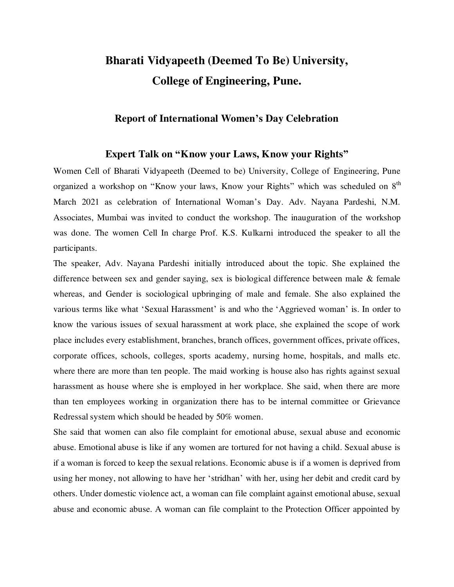## **Bharati Vidyapeeth (Deemed To Be) University, College of Engineering, Pune.**

## **Report of International Women's Day Celebration**

## **Expert Talk on "Know your Laws, Know your Rights"**

Women Cell of Bharati Vidyapeeth (Deemed to be) University, College of Engineering, Pune organized a workshop on "Know your laws, Know your Rights" which was scheduled on 8<sup>th</sup> March 2021 as celebration of International Woman's Day. Adv. Nayana Pardeshi, N.M. Associates, Mumbai was invited to conduct the workshop. The inauguration of the workshop was done. The women Cell In charge Prof. K.S. Kulkarni introduced the speaker to all the participants.

The speaker, Adv. Nayana Pardeshi initially introduced about the topic. She explained the difference between sex and gender saying, sex is biological difference between male & female whereas, and Gender is sociological upbringing of male and female. She also explained the various terms like what 'Sexual Harassment' is and who the 'Aggrieved woman' is. In order to know the various issues of sexual harassment at work place, she explained the scope of work place includes every establishment, branches, branch offices, government offices, private offices, corporate offices, schools, colleges, sports academy, nursing home, hospitals, and malls etc. where there are more than ten people. The maid working is house also has rights against sexual harassment as house where she is employed in her workplace. She said, when there are more than ten employees working in organization there has to be internal committee or Grievance Redressal system which should be headed by 50% women.

She said that women can also file complaint for emotional abuse, sexual abuse and economic abuse. Emotional abuse is like if any women are tortured for not having a child. Sexual abuse is if a woman is forced to keep the sexual relations. Economic abuse is if a women is deprived from using her money, not allowing to have her 'stridhan' with her, using her debit and credit card by others. Under domestic violence act, a woman can file complaint against emotional abuse, sexual abuse and economic abuse. A woman can file complaint to the Protection Officer appointed by